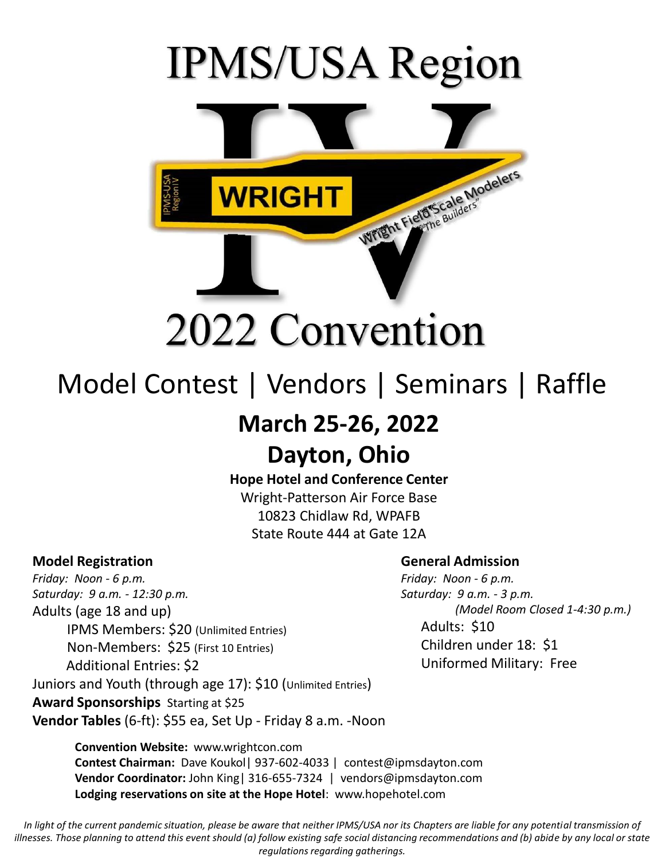# **IPMS/USA Region**



# 2022 Convention

## Model Contest | Vendors | Seminars | Raffle

### **March 25-26, 2022**

## **Dayton, Ohio**

#### **Hope Hotel and Conference Center**

Wright-Patterson Air Force Base 10823 Chidlaw Rd, WPAFB State Route 444 at Gate 12A

#### **Model Registration**

*Friday: Noon - 6 p.m. Saturday: 9 a.m. - 12:30 p.m.* Adults (age 18 and up) IPMS Members: \$20 (Unlimited Entries) Non-Members: \$25 (First 10 Entries) Additional Entries: \$2 Juniors and Youth (through age 17): \$10 (Unlimited Entries) **Award Sponsorships** Starting at \$25 **Vendor Tables** (6-ft): \$55 ea, Set Up - Friday 8 a.m. -Noon

#### **General Admission**

*Friday: Noon - 6 p.m. Saturday: 9 a.m. - 3 p.m. (Model Room Closed 1-4:30 p.m.)* Adults: \$10 Children under 18: \$1 Uniformed Military: Free

**Convention Website:** www.wrightcon.com **Contest Chairman:** Dave Koukol| 937-602-4033 | contest@ipmsdayton.com **Vendor Coordinator:** John King| 316-655-7324 | vendors@ipmsdayton.com **Lodging reservations on site at the Hope Hotel**: www.hopehotel.com

In light of the current pandemic situation, please be aware that neither IPMS/USA nor its Chapters are liable for any potential transmission of *illnesses. Those planning to attend this event should (a) follow existing safe social distancing recommendations and (b) abide by any local or state regulations regarding gatherings.*